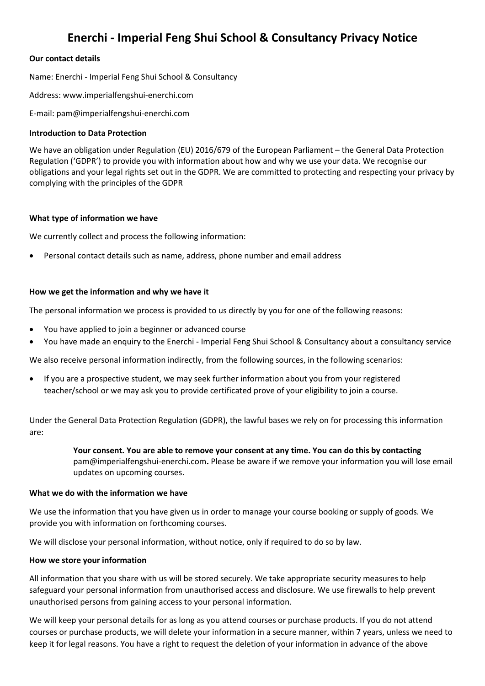# **Enerchi - Imperial Feng Shui School & Consultancy Privacy Notice**

# **Our contact details**

Name: Enerchi - Imperial Feng Shui School & Consultancy

Address: www.imperialfengshui-enerchi.com

E-mail: pam@imperialfengshui-enerchi.com

## **Introduction to Data Protection**

We have an obligation under Regulation (EU) 2016/679 of the European Parliament – the General Data Protection Regulation ('GDPR') to provide you with information about how and why we use your data. We recognise our obligations and your legal rights set out in the GDPR. We are committed to protecting and respecting your privacy by complying with the principles of the GDPR

## **What type of information we have**

We currently collect and process the following information:

• Personal contact details such as name, address, phone number and email address

# **How we get the information and why we have it**

The personal information we process is provided to us directly by you for one of the following reasons:

- You have applied to join a beginner or advanced course
- You have made an enquiry to the Enerchi Imperial Feng Shui School & Consultancy about a consultancy service

We also receive personal information indirectly, from the following sources, in the following scenarios:

• If you are a prospective student, we may seek further information about you from your registered teacher/school or we may ask you to provide certificated prove of your eligibility to join a course.

Under the General Data Protection Regulation (GDPR), the lawful bases we rely on for processing this information are:

> **Your consent. You are able to remove your consent at any time. You can do this by contacting** pam@imperialfengshui-enerchi.com**.** Please be aware if we remove your information you will lose email updates on upcoming courses.

## **What we do with the information we have**

We use the information that you have given us in order to manage your course booking or supply of goods. We provide you with information on forthcoming courses.

We will disclose your personal information, without notice, only if required to do so by law.

## **How we store your information**

All information that you share with us will be stored securely. We take appropriate security measures to help safeguard your personal information from unauthorised access and disclosure. We use firewalls to help prevent unauthorised persons from gaining access to your personal information.

We will keep your personal details for as long as you attend courses or purchase products. If you do not attend courses or purchase products, we will delete your information in a secure manner, within 7 years, unless we need to keep it for legal reasons. You have a right to request the deletion of your information in advance of the above